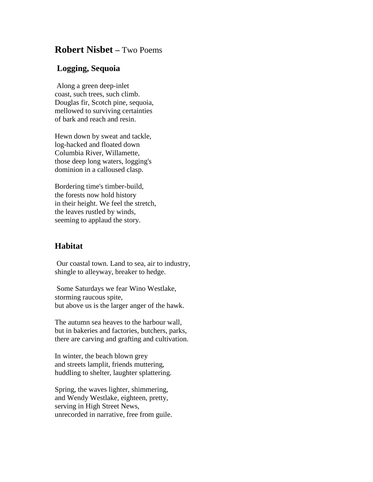## **Robert Nisbet –** Two Poems

## **Logging, Sequoia**

Along a green deep-inlet coast, such trees, such climb. Douglas fir, Scotch pine, sequoia, mellowed to surviving certainties of bark and reach and resin.

Hewn down by sweat and tackle, log-hacked and floated down Columbia River, Willamette, those deep long waters, logging's dominion in a calloused clasp.

Bordering time's timber-build, the forests now hold history in their height. We feel the stretch, the leaves rustled by winds, seeming to applaud the story.

## **Habitat**

Our coastal town. Land to sea, air to industry, shingle to alleyway, breaker to hedge.

Some Saturdays we fear Wino Westlake, storming raucous spite, but above us is the larger anger of the hawk.

The autumn sea heaves to the harbour wall, but in bakeries and factories, butchers, parks, there are carving and grafting and cultivation.

In winter, the beach blown grey and streets lamplit, friends muttering, huddling to shelter, laughter splattering.

Spring, the waves lighter, shimmering, and Wendy Westlake, eighteen, pretty, serving in High Street News, unrecorded in narrative, free from guile.